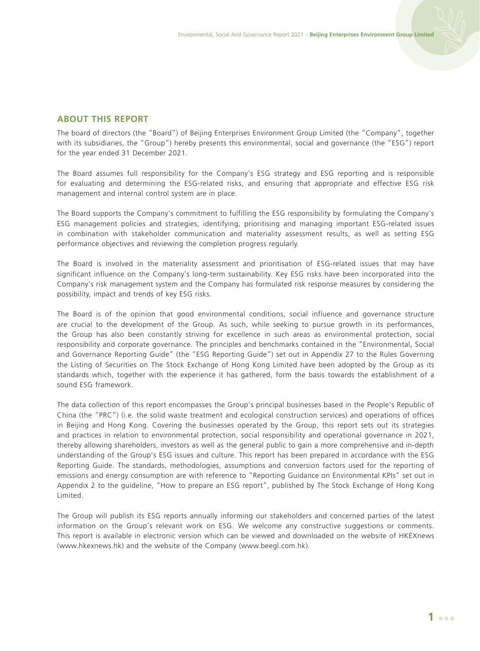## **ABOUT THIS REPORT**

The board of directors (the "Board") of Beijing Enterprises Environment Group Limited (the "Company", together with its subsidiaries, the "Group") hereby presents this environmental, social and governance (the "ESG") report for the year ended 31 December 2021.

The Board assumes full responsibility for the Company's ESG strategy and ESG reporting and is responsible for evaluating and determining the ESG-related risks, and ensuring that appropriate and effective ESG risk management and internal control system are in place.

The Board supports the Company's commitment to fulfilling the ESG responsibility by formulating the Company's ESG management policies and strategies, identifying, prioritising and managing important ESG-related issues in combination with stakeholder communication and materiality assessment results, as well as setting ESG performance objectives and reviewing the completion progress regularly.

The Board is involved in the materiality assessment and prioritisation of ESG-related issues that may have significant influence on the Company's long-term sustainability. Key ESG risks have been incorporated into the Company's risk management system and the Company has formulated risk response measures by considering the possibility, impact and trends of key ESG risks.

The Board is of the opinion that good environmental conditions, social influence and governance structure are crucial to the development of the Group. As such, while seeking to pursue growth in its performances, the Group has also been constantly striving for excellence in such areas as environmental protection, social responsibility and corporate governance. The principles and benchmarks contained in the "Environmental, Social and Governance Reporting Guide" (the "ESG Reporting Guide") set out in Appendix 27 to the Rules Governing the Listing of Securities on The Stock Exchange of Hong Kong Limited have been adopted by the Group as its standards which, together with the experience it has gathered, form the basis towards the establishment of a sound ESG framework.

The data collection of this report encompasses the Group's principal businesses based in the People's Republic of China (the "PRC") (i.e. the solid waste treatment and ecological construction services) and operations of offices in Beijing and Hong Kong. Covering the businesses operated by the Group, this report sets out its strategies and practices in relation to environmental protection, social responsibility and operational governance in 2021, thereby allowing shareholders, investors as well as the general public to gain a more comprehensive and in-depth understanding of the Group's ESG issues and culture. This report has been prepared in accordance with the ESG Reporting Guide. The standards, methodologies, assumptions and conversion factors used for the reporting of emissions and energy consumption are with reference to "Reporting Guidance on Environmental KPIs" set out in Appendix 2 to the guideline, "How to prepare an ESG report", published by The Stock Exchange of Hong Kong Limited.

The Group will publish its ESG reports annually informing our stakeholders and concerned parties of the latest information on the Group's relevant work on ESG. We welcome any constructive suggestions or comments. This report is available in electronic version which can be viewed and downloaded on the website of HKEXnews (www.hkexnews.hk) and the website of the Company (www.beegl.com.hk).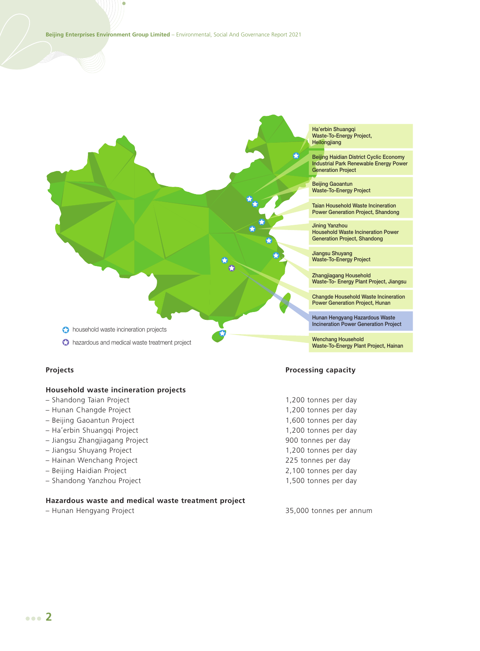

 $\bigodot$  hazardous and medical waste treatment project

## **Household waste incineration projects**

- Shandong Taian Project 1,200 tonnes per day
- Hunan Changde Project 1,200 tonnes per day
- Beijing Gaoantun Project 1,600 tonnes per day
- Ha'erbin Shuangqi Project 1,200 tonnes per day
- Jiangsu Zhangjiagang Project 900 tonnes per day
- 
- Hainan Wenchang Project 225 tonnes per day
- 
- Shandong Yanzhou Project 1,500 tonnes per day

## **Hazardous waste and medical waste treatment project**

Ha'erbin Shuangqi Waste-To-Energy Project, Heilongjiang

Beijing Haidian District Cyclic Economy Industrial Park Renewable Energy Power Generation Project

Beijing Gaoantun Waste-To-Energy Project

Taian Household Waste Incineration Power Generation Project, Shandong

Jining Yanzhou Household Waste Incineration Power Generation Project, Shandong

Jiangsu Shuyang Waste-To-Energy Project

Zhangjiagang Household Waste-To- Energy Plant Project, Jiangsu

Changde Household Waste Incineration Power Generation Project, Hunan

Hunan Hengyang Hazardous Waste Incineration Power Generation Project

Wenchang Household Waste-To-Energy Plant Project, Hainan

## **Projects Processing capacity**

– Jiangsu Shuyang Project 1,200 tonnes per day – Beijing Haidian Project 2,100 tonnes per day

– Hunan Hengyang Project 35,000 tonnes per annum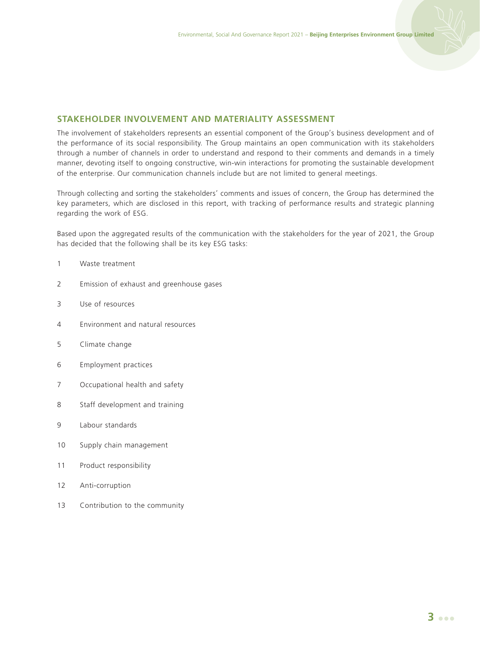## **STAKEHOLDER INVOLVEMENT AND MATERIALITY ASSESSMENT**

The involvement of stakeholders represents an essential component of the Group's business development and of the performance of its social responsibility. The Group maintains an open communication with its stakeholders through a number of channels in order to understand and respond to their comments and demands in a timely manner, devoting itself to ongoing constructive, win-win interactions for promoting the sustainable development of the enterprise. Our communication channels include but are not limited to general meetings.

Through collecting and sorting the stakeholders' comments and issues of concern, the Group has determined the key parameters, which are disclosed in this report, with tracking of performance results and strategic planning regarding the work of ESG.

Based upon the aggregated results of the communication with the stakeholders for the year of 2021, the Group has decided that the following shall be its key ESG tasks:

#### 1 Waste treatment

- 2 Emission of exhaust and greenhouse gases
- 3 Use of resources
- 4 Environment and natural resources
- 5 Climate change
- 6 Employment practices
- 7 Occupational health and safety
- 8 Staff development and training
- 9 Labour standards
- 10 Supply chain management
- 11 Product responsibility
- 12 Anti-corruption
- 13 Contribution to the community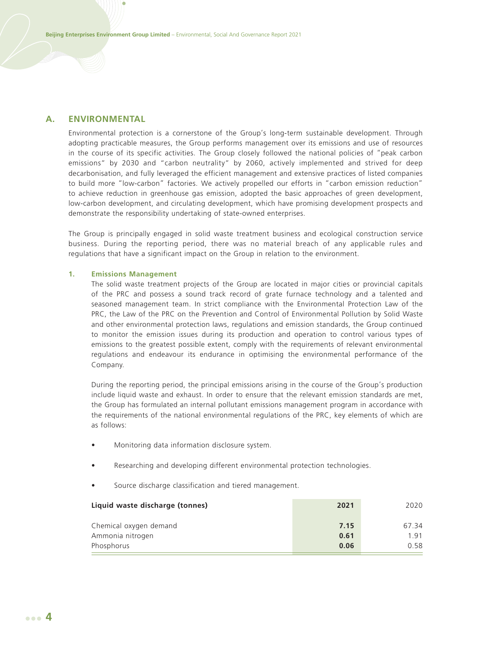## **A. ENVIRONMENTAL**

Environmental protection is a cornerstone of the Group's long-term sustainable development. Through adopting practicable measures, the Group performs management over its emissions and use of resources in the course of its specific activities. The Group closely followed the national policies of "peak carbon emissions" by 2030 and "carbon neutrality" by 2060, actively implemented and strived for deep decarbonisation, and fully leveraged the efficient management and extensive practices of listed companies to build more "low-carbon" factories. We actively propelled our efforts in "carbon emission reduction" to achieve reduction in greenhouse gas emission, adopted the basic approaches of green development, low-carbon development, and circulating development, which have promising development prospects and demonstrate the responsibility undertaking of state-owned enterprises.

The Group is principally engaged in solid waste treatment business and ecological construction service business. During the reporting period, there was no material breach of any applicable rules and regulations that have a significant impact on the Group in relation to the environment.

#### **1. Emissions Management**

The solid waste treatment projects of the Group are located in major cities or provincial capitals of the PRC and possess a sound track record of grate furnace technology and a talented and seasoned management team. In strict compliance with the Environmental Protection Law of the PRC, the Law of the PRC on the Prevention and Control of Environmental Pollution by Solid Waste and other environmental protection laws, regulations and emission standards, the Group continued to monitor the emission issues during its production and operation to control various types of emissions to the greatest possible extent, comply with the requirements of relevant environmental regulations and endeavour its endurance in optimising the environmental performance of the Company.

During the reporting period, the principal emissions arising in the course of the Group's production include liquid waste and exhaust. In order to ensure that the relevant emission standards are met, the Group has formulated an internal pollutant emissions management program in accordance with the requirements of the national environmental regulations of the PRC, key elements of which are as follows:

- Monitoring data information disclosure system.
- Researching and developing different environmental protection technologies.
- Source discharge classification and tiered management.

| Liquid waste discharge (tonnes) | 2021 | 2020  |
|---------------------------------|------|-------|
| Chemical oxygen demand          | 7.15 | 67 34 |
| Ammonia nitrogen                | 0.61 | 191   |
| Phosphorus                      | 0.06 | 0.58  |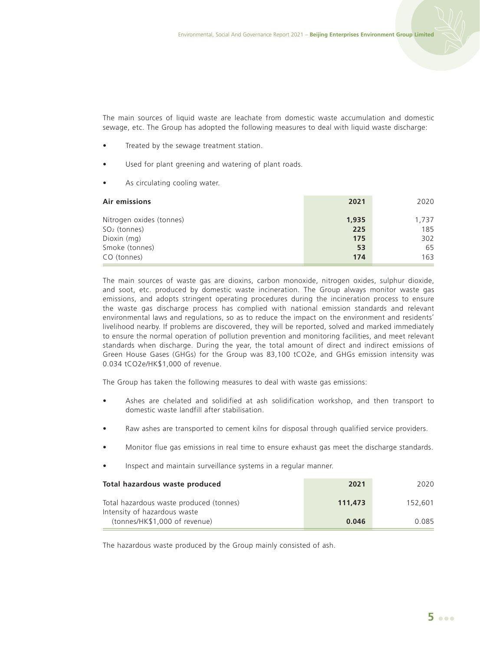The main sources of liquid waste are leachate from domestic waste accumulation and domestic sewage, etc. The Group has adopted the following measures to deal with liquid waste discharge:

- Treated by the sewage treatment station.
- Used for plant greening and watering of plant roads.
- As circulating cooling water.

| Air emissions            | 2021  | 2020  |
|--------------------------|-------|-------|
| Nitrogen oxides (tonnes) | 1.935 | 1,737 |
| $SO2$ (tonnes)           | 225   | 185   |
| Dioxin (mg)              | 175   | 302   |
| Smoke (tonnes)           | 53    | 65    |
| CO (tonnes)              | 174   | 163   |

The main sources of waste gas are dioxins, carbon monoxide, nitrogen oxides, sulphur dioxide, and soot, etc. produced by domestic waste incineration. The Group always monitor waste gas emissions, and adopts stringent operating procedures during the incineration process to ensure the waste gas discharge process has complied with national emission standards and relevant environmental laws and regulations, so as to reduce the impact on the environment and residents' livelihood nearby. If problems are discovered, they will be reported, solved and marked immediately to ensure the normal operation of pollution prevention and monitoring facilities, and meet relevant standards when discharge. During the year, the total amount of direct and indirect emissions of Green House Gases (GHGs) for the Group was 83,100 tCO2e, and GHGs emission intensity was 0.034 tCO2e/HK\$1,000 of revenue.

The Group has taken the following measures to deal with waste gas emissions:

- Ashes are chelated and solidified at ash solidification workshop, and then transport to domestic waste landfill after stabilisation.
- Raw ashes are transported to cement kilns for disposal through qualified service providers.
- Monitor flue gas emissions in real time to ensure exhaust gas meet the discharge standards.
- Inspect and maintain surveillance systems in a regular manner.

| Total hazardous waste produced                                          | 2021    | 2020    |
|-------------------------------------------------------------------------|---------|---------|
| Total hazardous waste produced (tonnes)<br>Intensity of hazardous waste | 111.473 | 152.601 |
| (tonnes/HK\$1,000 of revenue)                                           | 0.046   | 0.085   |

The hazardous waste produced by the Group mainly consisted of ash.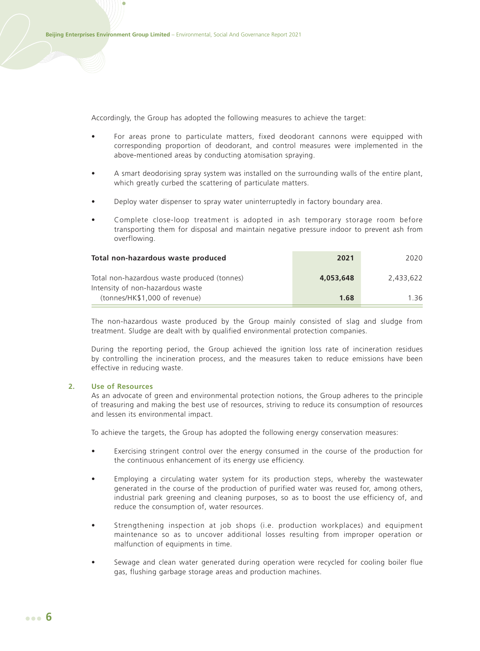Accordingly, the Group has adopted the following measures to achieve the target:

- For areas prone to particulate matters, fixed deodorant cannons were equipped with corresponding proportion of deodorant, and control measures were implemented in the above-mentioned areas by conducting atomisation spraying.
- A smart deodorising spray system was installed on the surrounding walls of the entire plant, which greatly curbed the scattering of particulate matters.
- Deploy water dispenser to spray water uninterruptedly in factory boundary area.
- Complete close-loop treatment is adopted in ash temporary storage room before transporting them for disposal and maintain negative pressure indoor to prevent ash from overflowing.

| Total non-hazardous waste produced                                              | 2021      | 2020      |
|---------------------------------------------------------------------------------|-----------|-----------|
| Total non-hazardous waste produced (tonnes)<br>Intensity of non-hazardous waste | 4,053,648 | 2.433.622 |
| (tonnes/HK\$1,000 of revenue)                                                   | 1.68      | 136       |

The non-hazardous waste produced by the Group mainly consisted of slag and sludge from treatment. Sludge are dealt with by qualified environmental protection companies.

During the reporting period, the Group achieved the ignition loss rate of incineration residues by controlling the incineration process, and the measures taken to reduce emissions have been effective in reducing waste.

## **2. Use of Resources**

As an advocate of green and environmental protection notions, the Group adheres to the principle of treasuring and making the best use of resources, striving to reduce its consumption of resources and lessen its environmental impact.

To achieve the targets, the Group has adopted the following energy conservation measures:

- Exercising stringent control over the energy consumed in the course of the production for the continuous enhancement of its energy use efficiency.
- Employing a circulating water system for its production steps, whereby the wastewater generated in the course of the production of purified water was reused for, among others, industrial park greening and cleaning purposes, so as to boost the use efficiency of, and reduce the consumption of, water resources.
- Strengthening inspection at job shops (i.e. production workplaces) and equipment maintenance so as to uncover additional losses resulting from improper operation or malfunction of equipments in time.
- Sewage and clean water generated during operation were recycled for cooling boiler flue gas, flushing garbage storage areas and production machines.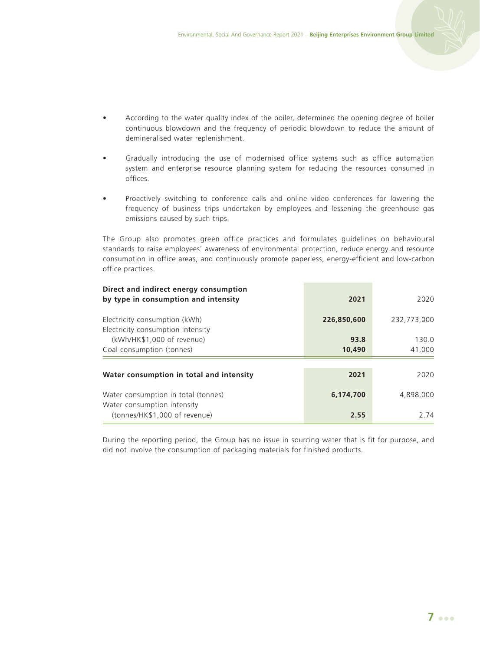- According to the water quality index of the boiler, determined the opening degree of boiler continuous blowdown and the frequency of periodic blowdown to reduce the amount of demineralised water replenishment.
- Gradually introducing the use of modernised office systems such as office automation system and enterprise resource planning system for reducing the resources consumed in offices.
- Proactively switching to conference calls and online video conferences for lowering the frequency of business trips undertaken by employees and lessening the greenhouse gas emissions caused by such trips.

The Group also promotes green office practices and formulates guidelines on behavioural standards to raise employees' awareness of environmental protection, reduce energy and resource consumption in office areas, and continuously promote paperless, energy-efficient and low-carbon office practices.

| Direct and indirect energy consumption<br>by type in consumption and intensity | 2021        | 2020        |  |
|--------------------------------------------------------------------------------|-------------|-------------|--|
| Electricity consumption (kWh)<br>Electricity consumption intensity             | 226,850,600 | 232,773,000 |  |
| (kWh/HK\$1,000 of revenue)                                                     | 93.8        | 130.0       |  |
| Coal consumption (tonnes)                                                      | 10,490      | 41,000      |  |
|                                                                                |             |             |  |
| Water consumption in total and intensity                                       | 2021        | 2020        |  |
| Water consumption in total (tonnes)                                            | 6.174.700   | 4.898.000   |  |
| Water consumption intensity                                                    |             |             |  |
| (tonnes/HK\$1,000 of revenue)                                                  | 2.55        | 2 74        |  |

During the reporting period, the Group has no issue in sourcing water that is fit for purpose, and did not involve the consumption of packaging materials for finished products.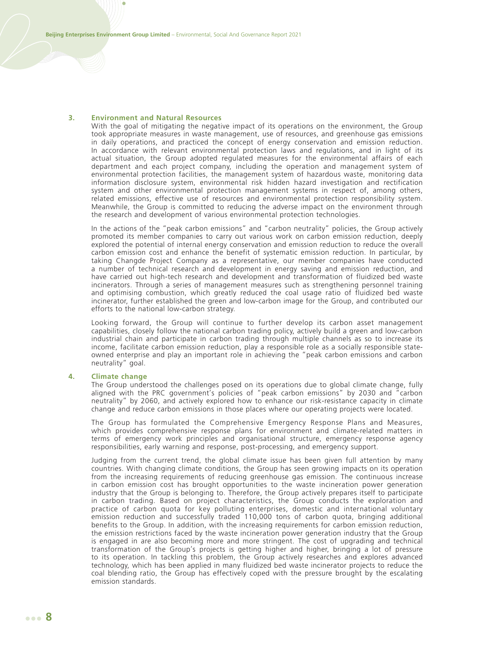#### **3. Environment and Natural Resources**

With the goal of mitigating the negative impact of its operations on the environment, the Group took appropriate measures in waste management, use of resources, and greenhouse gas emissions in daily operations, and practiced the concept of energy conservation and emission reduction. In accordance with relevant environmental protection laws and regulations, and in light of its actual situation, the Group adopted regulated measures for the environmental affairs of each department and each project company, including the operation and management system of environmental protection facilities, the management system of hazardous waste, monitoring data information disclosure system, environmental risk hidden hazard investigation and rectification system and other environmental protection management systems in respect of, among others, related emissions, effective use of resources and environmental protection responsibility system. Meanwhile, the Group is committed to reducing the adverse impact on the environment through the research and development of various environmental protection technologies.

In the actions of the "peak carbon emissions" and "carbon neutrality" policies, the Group actively promoted its member companies to carry out various work on carbon emission reduction, deeply explored the potential of internal energy conservation and emission reduction to reduce the overall carbon emission cost and enhance the benefit of systematic emission reduction. In particular, by taking Changde Project Company as a representative, our member companies have conducted a number of technical research and development in energy saving and emission reduction, and have carried out high-tech research and development and transformation of fluidized bed waste incinerators. Through a series of management measures such as strengthening personnel training and optimising combustion, which greatly reduced the coal usage ratio of fluidized bed waste incinerator, further established the green and low-carbon image for the Group, and contributed our efforts to the national low-carbon strategy.

Looking forward, the Group will continue to further develop its carbon asset management capabilities, closely follow the national carbon trading policy, actively build a green and low-carbon industrial chain and participate in carbon trading through multiple channels as so to increase its income, facilitate carbon emission reduction, play a responsible role as a socially responsible stateowned enterprise and play an important role in achieving the "peak carbon emissions and carbon neutrality" goal.

#### **4. Climate change**

The Group understood the challenges posed on its operations due to global climate change, fully aligned with the PRC government's policies of "peak carbon emissions" by 2030 and "carbon neutrality" by 2060, and actively explored how to enhance our risk-resistance capacity in climate change and reduce carbon emissions in those places where our operating projects were located.

The Group has formulated the Comprehensive Emergency Response Plans and Measures, which provides comprehensive response plans for environment and climate-related matters in terms of emergency work principles and organisational structure, emergency response agency responsibilities, early warning and response, post-processing, and emergency support.

Judging from the current trend, the global climate issue has been given full attention by many countries. With changing climate conditions, the Group has seen growing impacts on its operation from the increasing requirements of reducing greenhouse gas emission. The continuous increase in carbon emission cost has brought opportunities to the waste incineration power generation industry that the Group is belonging to. Therefore, the Group actively prepares itself to participate in carbon trading. Based on project characteristics, the Group conducts the exploration and practice of carbon quota for key polluting enterprises, domestic and international voluntary emission reduction and successfully traded 110,000 tons of carbon quota, bringing additional benefits to the Group. In addition, with the increasing requirements for carbon emission reduction, the emission restrictions faced by the waste incineration power generation industry that the Group is engaged in are also becoming more and more stringent. The cost of upgrading and technical transformation of the Group's projects is getting higher and higher, bringing a lot of pressure to its operation. In tackling this problem, the Group actively researches and explores advanced technology, which has been applied in many fluidized bed waste incinerator projects to reduce the coal blending ratio, the Group has effectively coped with the pressure brought by the escalating emission standards.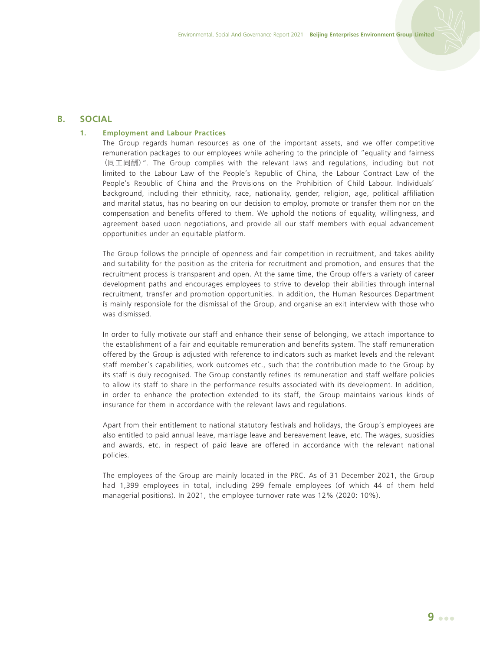## **B. SOCIAL**

## **1. Employment and Labour Practices**

The Group regards human resources as one of the important assets, and we offer competitive remuneration packages to our employees while adhering to the principle of "equality and fairness (同工同酬)". The Group complies with the relevant laws and regulations, including but not limited to the Labour Law of the People's Republic of China, the Labour Contract Law of the People's Republic of China and the Provisions on the Prohibition of Child Labour. Individuals' background, including their ethnicity, race, nationality, gender, religion, age, political affiliation and marital status, has no bearing on our decision to employ, promote or transfer them nor on the compensation and benefits offered to them. We uphold the notions of equality, willingness, and agreement based upon negotiations, and provide all our staff members with equal advancement opportunities under an equitable platform.

The Group follows the principle of openness and fair competition in recruitment, and takes ability and suitability for the position as the criteria for recruitment and promotion, and ensures that the recruitment process is transparent and open. At the same time, the Group offers a variety of career development paths and encourages employees to strive to develop their abilities through internal recruitment, transfer and promotion opportunities. In addition, the Human Resources Department is mainly responsible for the dismissal of the Group, and organise an exit interview with those who was dismissed.

In order to fully motivate our staff and enhance their sense of belonging, we attach importance to the establishment of a fair and equitable remuneration and benefits system. The staff remuneration offered by the Group is adjusted with reference to indicators such as market levels and the relevant staff member's capabilities, work outcomes etc., such that the contribution made to the Group by its staff is duly recognised. The Group constantly refines its remuneration and staff welfare policies to allow its staff to share in the performance results associated with its development. In addition, in order to enhance the protection extended to its staff, the Group maintains various kinds of insurance for them in accordance with the relevant laws and regulations.

Apart from their entitlement to national statutory festivals and holidays, the Group's employees are also entitled to paid annual leave, marriage leave and bereavement leave, etc. The wages, subsidies and awards, etc. in respect of paid leave are offered in accordance with the relevant national policies.

The employees of the Group are mainly located in the PRC. As of 31 December 2021, the Group had 1,399 employees in total, including 299 female employees (of which 44 of them held managerial positions). In 2021, the employee turnover rate was 12% (2020: 10%).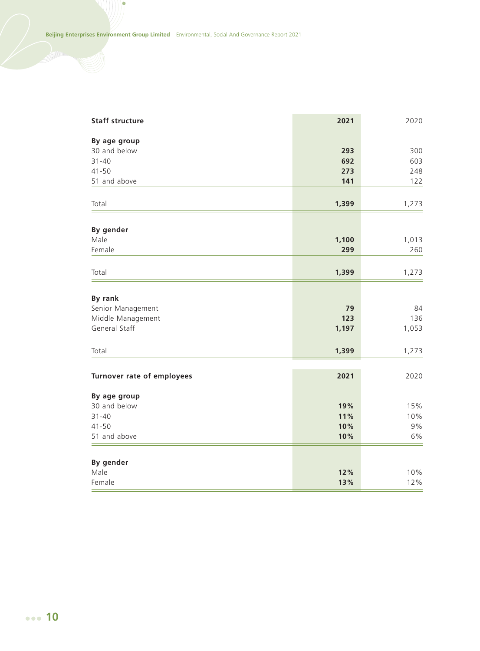ò

| <b>Staff structure</b>       | 2021       | 2020      |
|------------------------------|------------|-----------|
| By age group                 |            |           |
| 30 and below                 | 293        | 300       |
| $31 - 40$                    | 692        | 603       |
| $41 - 50$                    | 273        | 248       |
| 51 and above                 | 141        | 122       |
| Total                        | 1,399      | 1,273     |
| By gender                    |            |           |
| Male                         | 1,100      | 1,013     |
| Female                       | 299        | 260       |
| Total                        | 1,399      | 1,273     |
|                              |            |           |
| By rank                      |            |           |
| Senior Management            | 79         | 84        |
| Middle Management            | 123        | 136       |
| General Staff                | 1,197      | 1,053     |
| Total                        | 1,399      | 1,273     |
| Turnover rate of employees   | 2021       | 2020      |
|                              |            |           |
| By age group<br>30 and below | 19%        | 15%       |
|                              |            |           |
| $31 - 40$<br>$41 - 50$       | 11%<br>10% | 10%<br>9% |
| 51 and above                 | 10%        | 6%        |
|                              |            |           |
| By gender                    |            |           |
| Male                         | 12%        | 10%       |
| Female                       | 13%        | 12%       |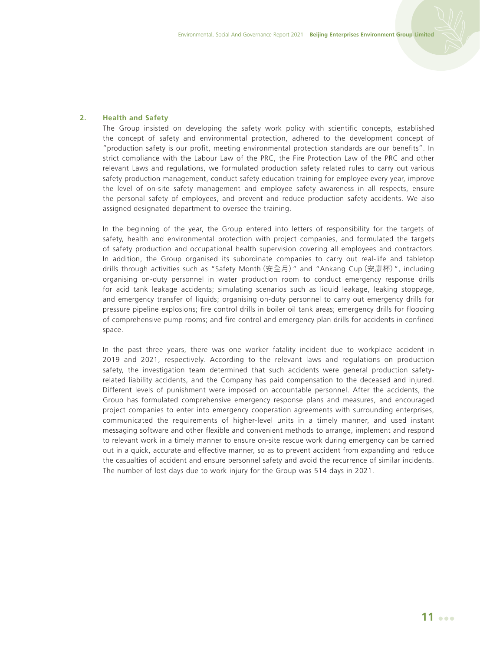## **2. Health and Safety**

The Group insisted on developing the safety work policy with scientific concepts, established the concept of safety and environmental protection, adhered to the development concept of "production safety is our profit, meeting environmental protection standards are our benefits". In strict compliance with the Labour Law of the PRC, the Fire Protection Law of the PRC and other relevant Laws and regulations, we formulated production safety related rules to carry out various safety production management, conduct safety education training for employee every year, improve the level of on-site safety management and employee safety awareness in all respects, ensure the personal safety of employees, and prevent and reduce production safety accidents. We also assigned designated department to oversee the training.

In the beginning of the year, the Group entered into letters of responsibility for the targets of safety, health and environmental protection with project companies, and formulated the targets of safety production and occupational health supervision covering all employees and contractors. In addition, the Group organised its subordinate companies to carry out real-life and tabletop drills through activities such as "Safety Month(安全月)" and "Ankang Cup(安康杯)", including organising on-duty personnel in water production room to conduct emergency response drills for acid tank leakage accidents; simulating scenarios such as liquid leakage, leaking stoppage, and emergency transfer of liquids; organising on-duty personnel to carry out emergency drills for pressure pipeline explosions; fire control drills in boiler oil tank areas; emergency drills for flooding of comprehensive pump rooms; and fire control and emergency plan drills for accidents in confined space.

In the past three years, there was one worker fatality incident due to workplace accident in 2019 and 2021, respectively. According to the relevant laws and regulations on production safety, the investigation team determined that such accidents were general production safetyrelated liability accidents, and the Company has paid compensation to the deceased and injured. Different levels of punishment were imposed on accountable personnel. After the accidents, the Group has formulated comprehensive emergency response plans and measures, and encouraged project companies to enter into emergency cooperation agreements with surrounding enterprises, communicated the requirements of higher-level units in a timely manner, and used instant messaging software and other flexible and convenient methods to arrange, implement and respond to relevant work in a timely manner to ensure on-site rescue work during emergency can be carried out in a quick, accurate and effective manner, so as to prevent accident from expanding and reduce the casualties of accident and ensure personnel safety and avoid the recurrence of similar incidents. The number of lost days due to work injury for the Group was 514 days in 2021.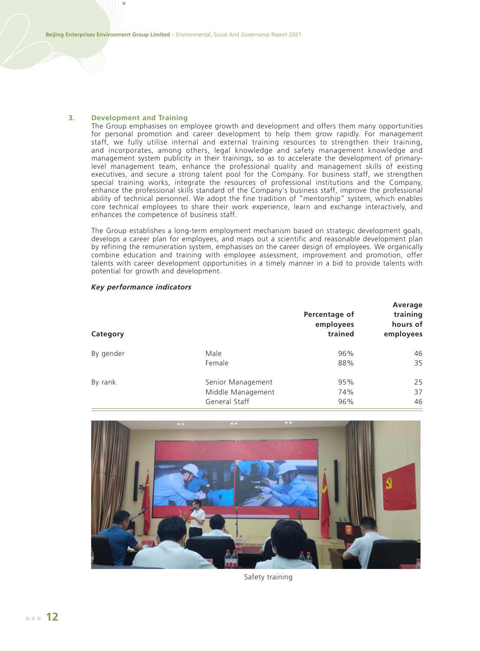#### **3. Development and Training**

The Group emphasises on employee growth and development and offers them many opportunities for personal promotion and career development to help them grow rapidly. For management staff, we fully utilise internal and external training resources to strengthen their training, and incorporates, among others, legal knowledge and safety management knowledge and management system publicity in their trainings, so as to accelerate the development of primarylevel management team, enhance the professional quality and management skills of existing executives, and secure a strong talent pool for the Company. For business staff, we strengthen special training works, integrate the resources of professional institutions and the Company, enhance the professional skills standard of the Company's business staff, improve the professional ability of technical personnel. We adopt the fine tradition of "mentorship" system, which enables core technical employees to share their work experience, learn and exchange interactively, and enhances the competence of business staff.

The Group establishes a long-term employment mechanism based on strategic development goals, develops a career plan for employees, and maps out a scientific and reasonable development plan by refining the remuneration system, emphasises on the career design of employees. We organically combine education and training with employee assessment, improvement and promotion, offer talents with career development opportunities in a timely manner in a bid to provide talents with potential for growth and development.

**Average** 

| Category  |                   | Percentage of<br>employees<br>trained | Average<br>training<br>hours of<br>employees |
|-----------|-------------------|---------------------------------------|----------------------------------------------|
| By gender | Male              | 96%                                   | 46                                           |
|           | Female            | 88%                                   | 35                                           |
| By rank   | Senior Management | 95%                                   | 25                                           |
|           | Middle Management | 74%                                   | 37                                           |
|           | General Staff     | 96%                                   | 46                                           |
|           |                   |                                       |                                              |

#### **Key performance indicators**



Safety training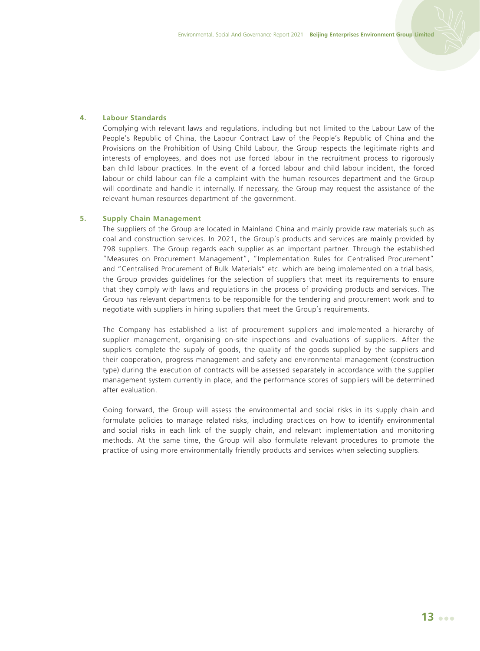## **4. Labour Standards**

Complying with relevant laws and regulations, including but not limited to the Labour Law of the People's Republic of China, the Labour Contract Law of the People's Republic of China and the Provisions on the Prohibition of Using Child Labour, the Group respects the legitimate rights and interests of employees, and does not use forced labour in the recruitment process to rigorously ban child labour practices. In the event of a forced labour and child labour incident, the forced labour or child labour can file a complaint with the human resources department and the Group will coordinate and handle it internally. If necessary, the Group may request the assistance of the relevant human resources department of the government.

## **5. Supply Chain Management**

The suppliers of the Group are located in Mainland China and mainly provide raw materials such as coal and construction services. In 2021, the Group's products and services are mainly provided by 798 suppliers. The Group regards each supplier as an important partner. Through the established "Measures on Procurement Management", "Implementation Rules for Centralised Procurement" and "Centralised Procurement of Bulk Materials" etc. which are being implemented on a trial basis, the Group provides guidelines for the selection of suppliers that meet its requirements to ensure that they comply with laws and regulations in the process of providing products and services. The Group has relevant departments to be responsible for the tendering and procurement work and to negotiate with suppliers in hiring suppliers that meet the Group's requirements.

The Company has established a list of procurement suppliers and implemented a hierarchy of supplier management, organising on-site inspections and evaluations of suppliers. After the suppliers complete the supply of goods, the quality of the goods supplied by the suppliers and their cooperation, progress management and safety and environmental management (construction type) during the execution of contracts will be assessed separately in accordance with the supplier management system currently in place, and the performance scores of suppliers will be determined after evaluation.

Going forward, the Group will assess the environmental and social risks in its supply chain and formulate policies to manage related risks, including practices on how to identify environmental and social risks in each link of the supply chain, and relevant implementation and monitoring methods. At the same time, the Group will also formulate relevant procedures to promote the practice of using more environmentally friendly products and services when selecting suppliers.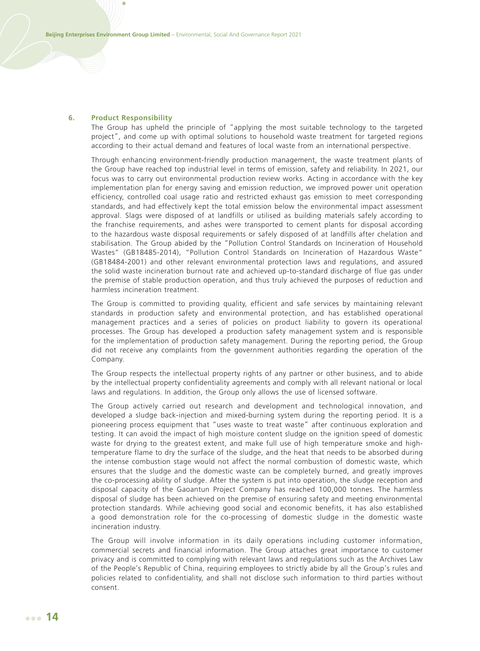#### **6. Product Responsibility**

The Group has upheld the principle of "applying the most suitable technology to the targeted project", and come up with optimal solutions to household waste treatment for targeted regions according to their actual demand and features of local waste from an international perspective.

Through enhancing environment-friendly production management, the waste treatment plants of the Group have reached top industrial level in terms of emission, safety and reliability. In 2021, our focus was to carry out environmental production review works. Acting in accordance with the key implementation plan for energy saving and emission reduction, we improved power unit operation efficiency, controlled coal usage ratio and restricted exhaust gas emission to meet corresponding standards, and had effectively kept the total emission below the environmental impact assessment approval. Slags were disposed of at landfills or utilised as building materials safely according to the franchise requirements, and ashes were transported to cement plants for disposal according to the hazardous waste disposal requirements or safely disposed of at landfills after chelation and stabilisation. The Group abided by the "Pollution Control Standards on Incineration of Household Wastes" (GB18485-2014), "Pollution Control Standards on Incineration of Hazardous Waste" (GB18484-2001) and other relevant environmental protection laws and regulations, and assured the solid waste incineration burnout rate and achieved up-to-standard discharge of flue gas under the premise of stable production operation, and thus truly achieved the purposes of reduction and harmless incineration treatment.

The Group is committed to providing quality, efficient and safe services by maintaining relevant standards in production safety and environmental protection, and has established operational management practices and a series of policies on product liability to govern its operational processes. The Group has developed a production safety management system and is responsible for the implementation of production safety management. During the reporting period, the Group did not receive any complaints from the government authorities regarding the operation of the Company.

The Group respects the intellectual property rights of any partner or other business, and to abide by the intellectual property confidentiality agreements and comply with all relevant national or local laws and regulations. In addition, the Group only allows the use of licensed software.

The Group actively carried out research and development and technological innovation, and developed a sludge back-injection and mixed-burning system during the reporting period. It is a pioneering process equipment that "uses waste to treat waste" after continuous exploration and testing. It can avoid the impact of high moisture content sludge on the ignition speed of domestic waste for drying to the greatest extent, and make full use of high temperature smoke and hightemperature flame to dry the surface of the sludge, and the heat that needs to be absorbed during the intense combustion stage would not affect the normal combustion of domestic waste, which ensures that the sludge and the domestic waste can be completely burned, and greatly improves the co-processing ability of sludge. After the system is put into operation, the sludge reception and disposal capacity of the Gaoantun Project Company has reached 100,000 tonnes. The harmless disposal of sludge has been achieved on the premise of ensuring safety and meeting environmental protection standards. While achieving good social and economic benefits, it has also established a good demonstration role for the co-processing of domestic sludge in the domestic waste incineration industry.

The Group will involve information in its daily operations including customer information, commercial secrets and financial information. The Group attaches great importance to customer privacy and is committed to complying with relevant laws and regulations such as the Archives Law of the People's Republic of China, requiring employees to strictly abide by all the Group's rules and policies related to confidentiality, and shall not disclose such information to third parties without consent.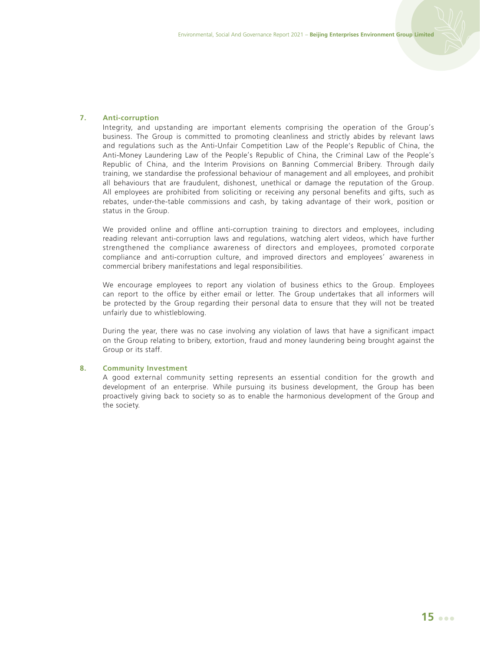## **7. Anti-corruption**

Integrity, and upstanding are important elements comprising the operation of the Group's business. The Group is committed to promoting cleanliness and strictly abides by relevant laws and regulations such as the Anti-Unfair Competition Law of the People's Republic of China, the Anti-Money Laundering Law of the People's Republic of China, the Criminal Law of the People's Republic of China, and the Interim Provisions on Banning Commercial Bribery. Through daily training, we standardise the professional behaviour of management and all employees, and prohibit all behaviours that are fraudulent, dishonest, unethical or damage the reputation of the Group. All employees are prohibited from soliciting or receiving any personal benefits and gifts, such as rebates, under-the-table commissions and cash, by taking advantage of their work, position or status in the Group.

We provided online and offline anti-corruption training to directors and employees, including reading relevant anti-corruption laws and regulations, watching alert videos, which have further strengthened the compliance awareness of directors and employees, promoted corporate compliance and anti-corruption culture, and improved directors and employees' awareness in commercial bribery manifestations and legal responsibilities.

We encourage employees to report any violation of business ethics to the Group. Employees can report to the office by either email or letter. The Group undertakes that all informers will be protected by the Group regarding their personal data to ensure that they will not be treated unfairly due to whistleblowing.

During the year, there was no case involving any violation of laws that have a significant impact on the Group relating to bribery, extortion, fraud and money laundering being brought against the Group or its staff.

#### **8. Community Investment**

A good external community setting represents an essential condition for the growth and development of an enterprise. While pursuing its business development, the Group has been proactively giving back to society so as to enable the harmonious development of the Group and the society.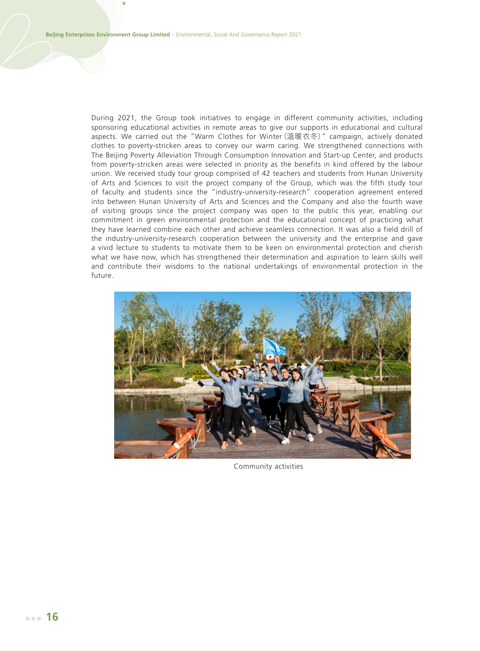During 2021, the Group took initiatives to engage in different community activities, including sponsoring educational activities in remote areas to give our supports in educational and cultural aspects. We carried out the "Warm Clothes for Winter(溫暖衣冬)" campaign, actively donated clothes to poverty-stricken areas to convey our warm caring. We strengthened connections with The Beijing Poverty Alleviation Through Consumption Innovation and Start-up Center, and products from poverty-stricken areas were selected in priority as the benefits in kind offered by the labour union. We received study tour group comprised of 42 teachers and students from Hunan University of Arts and Sciences to visit the project company of the Group, which was the fifth study tour of faculty and students since the "industry-university-research" cooperation agreement entered into between Hunan University of Arts and Sciences and the Company and also the fourth wave of visiting groups since the project company was open to the public this year, enabling our commitment in green environmental protection and the educational concept of practicing what they have learned combine each other and achieve seamless connection. It was also a field drill of the industry-university-research cooperation between the university and the enterprise and gave a vivid lecture to students to motivate them to be keen on environmental protection and cherish what we have now, which has strengthened their determination and aspiration to learn skills well and contribute their wisdoms to the national undertakings of environmental protection in the future.



Community activities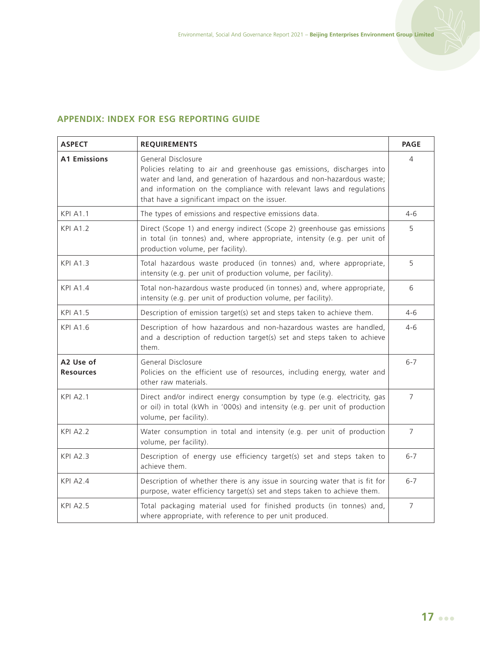# **APPENDIX: INDEX FOR ESG REPORTING GUIDE**

| <b>ASPECT</b>                 | <b>REQUIREMENTS</b>                                                                                                                                                                                                                                                                           | <b>PAGE</b>    |
|-------------------------------|-----------------------------------------------------------------------------------------------------------------------------------------------------------------------------------------------------------------------------------------------------------------------------------------------|----------------|
| <b>A1 Emissions</b>           | General Disclosure<br>Policies relating to air and greenhouse gas emissions, discharges into<br>water and land, and generation of hazardous and non-hazardous waste;<br>and information on the compliance with relevant laws and regulations<br>that have a significant impact on the issuer. | 4              |
| <b>KPI A1.1</b>               | The types of emissions and respective emissions data.                                                                                                                                                                                                                                         | $4 - 6$        |
| <b>KPI A1.2</b>               | Direct (Scope 1) and energy indirect (Scope 2) greenhouse gas emissions<br>in total (in tonnes) and, where appropriate, intensity (e.g. per unit of<br>production volume, per facility).                                                                                                      | 5              |
| <b>KPI A1.3</b>               | Total hazardous waste produced (in tonnes) and, where appropriate,<br>intensity (e.g. per unit of production volume, per facility).                                                                                                                                                           | 5              |
| <b>KPI A1.4</b>               | Total non-hazardous waste produced (in tonnes) and, where appropriate,<br>intensity (e.g. per unit of production volume, per facility).                                                                                                                                                       | 6              |
| <b>KPI A1.5</b>               | Description of emission target(s) set and steps taken to achieve them.                                                                                                                                                                                                                        | $4 - 6$        |
| <b>KPI A1.6</b>               | Description of how hazardous and non-hazardous wastes are handled,<br>and a description of reduction target(s) set and steps taken to achieve<br>them.                                                                                                                                        | $4 - 6$        |
| A2 Use of<br><b>Resources</b> | General Disclosure<br>Policies on the efficient use of resources, including energy, water and<br>other raw materials.                                                                                                                                                                         | $6 - 7$        |
| <b>KPI A2.1</b>               | Direct and/or indirect energy consumption by type (e.g. electricity, gas<br>or oil) in total (kWh in '000s) and intensity (e.g. per unit of production<br>volume, per facility).                                                                                                              | $\overline{7}$ |
| <b>KPI A2.2</b>               | Water consumption in total and intensity (e.g. per unit of production<br>volume, per facility).                                                                                                                                                                                               | 7              |
| <b>KPI A2.3</b>               | Description of energy use efficiency target(s) set and steps taken to<br>achieve them.                                                                                                                                                                                                        | $6 - 7$        |
| <b>KPI A2.4</b>               | Description of whether there is any issue in sourcing water that is fit for<br>purpose, water efficiency target(s) set and steps taken to achieve them.                                                                                                                                       | $6 - 7$        |
| <b>KPI A2.5</b>               | Total packaging material used for finished products (in tonnes) and,<br>where appropriate, with reference to per unit produced.                                                                                                                                                               | $\overline{7}$ |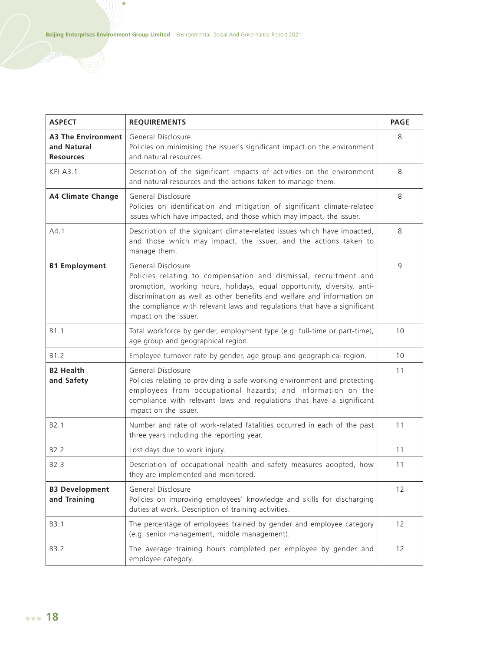ò

| <b>ASPECT</b>                                                | <b>REQUIREMENTS</b>                                                                                                                                                                                                                                                                                                                                | <b>PAGE</b> |
|--------------------------------------------------------------|----------------------------------------------------------------------------------------------------------------------------------------------------------------------------------------------------------------------------------------------------------------------------------------------------------------------------------------------------|-------------|
| <b>A3 The Environment</b><br>and Natural<br><b>Resources</b> | General Disclosure<br>Policies on minimising the issuer's significant impact on the environment<br>and natural resources.                                                                                                                                                                                                                          | 8           |
| <b>KPI A3.1</b>                                              | Description of the significant impacts of activities on the environment<br>and natural resources and the actions taken to manage them.                                                                                                                                                                                                             | 8           |
| <b>A4 Climate Change</b>                                     | General Disclosure<br>Policies on identification and mitigation of significant climate-related<br>issues which have impacted, and those which may impact, the issuer.                                                                                                                                                                              | 8           |
| A4.1                                                         | Description of the signicant climate-related issues which have impacted,<br>and those which may impact, the issuer, and the actions taken to<br>manage them.                                                                                                                                                                                       | 8           |
| <b>B1 Employment</b>                                         | General Disclosure<br>Policies relating to compensation and dismissal, recruitment and<br>promotion, working hours, holidays, equal opportunity, diversity, anti-<br>discrimination as well as other benefits and welfare and information on<br>the compliance with relevant laws and regulations that have a significant<br>impact on the issuer. | 9           |
| B <sub>1.1</sub>                                             | Total workforce by gender, employment type (e.g. full-time or part-time),<br>age group and geographical region.                                                                                                                                                                                                                                    | 10          |
| B1.2                                                         | Employee turnover rate by gender, age group and geographical region.                                                                                                                                                                                                                                                                               | 10          |
| <b>B2 Health</b><br>and Safety                               | General Disclosure<br>Policies relating to providing a safe working environment and protecting<br>employees from occupational hazards; and information on the<br>compliance with relevant laws and regulations that have a significant<br>impact on the issuer.                                                                                    | 11          |
| B <sub>2.1</sub>                                             | Number and rate of work-related fatalities occurred in each of the past<br>three years including the reporting year.                                                                                                                                                                                                                               | 11          |
| B <sub>2.2</sub>                                             | Lost days due to work injury.                                                                                                                                                                                                                                                                                                                      | 11          |
| B <sub>2.3</sub>                                             | Description of occupational health and safety measures adopted, how<br>they are implemented and monitored.                                                                                                                                                                                                                                         | 11          |
| <b>B3 Development</b><br>and Training                        | General Disclosure<br>Policies on improving employees' knowledge and skills for discharging<br>duties at work. Description of training activities.                                                                                                                                                                                                 | 12          |
| B3.1                                                         | The percentage of employees trained by gender and employee category<br>(e.g. senior management, middle management).                                                                                                                                                                                                                                | 12          |
| B3.2                                                         | The average training hours completed per employee by gender and<br>employee category.                                                                                                                                                                                                                                                              | 12          |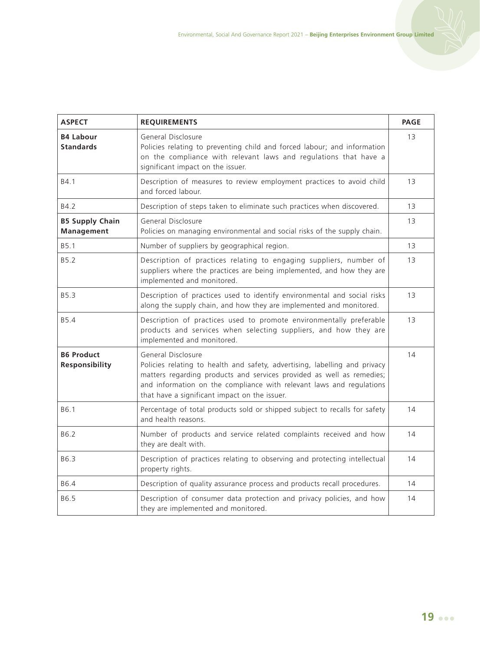| <b>ASPECT</b>                               | <b>REQUIREMENTS</b>                                                                                                                                                                                                                                                                                | <b>PAGE</b> |
|---------------------------------------------|----------------------------------------------------------------------------------------------------------------------------------------------------------------------------------------------------------------------------------------------------------------------------------------------------|-------------|
| <b>B4 Labour</b><br><b>Standards</b>        | General Disclosure<br>Policies relating to preventing child and forced labour; and information<br>on the compliance with relevant laws and regulations that have a<br>significant impact on the issuer.                                                                                            | 13          |
| B4.1                                        | Description of measures to review employment practices to avoid child<br>and forced labour                                                                                                                                                                                                         | 13          |
| B4.2                                        | Description of steps taken to eliminate such practices when discovered.                                                                                                                                                                                                                            | 13          |
| <b>B5 Supply Chain</b><br><b>Management</b> | General Disclosure<br>Policies on managing environmental and social risks of the supply chain.                                                                                                                                                                                                     | 13          |
| B <sub>5.1</sub>                            | Number of suppliers by geographical region.                                                                                                                                                                                                                                                        | 13          |
| B5.2                                        | Description of practices relating to engaging suppliers, number of<br>suppliers where the practices are being implemented, and how they are<br>implemented and monitored.                                                                                                                          | 13          |
| <b>B5.3</b>                                 | Description of practices used to identify environmental and social risks<br>along the supply chain, and how they are implemented and monitored.                                                                                                                                                    | 13          |
| B5.4                                        | Description of practices used to promote environmentally preferable<br>products and services when selecting suppliers, and how they are<br>implemented and monitored.                                                                                                                              | 13          |
| <b>B6 Product</b><br>Responsibility         | General Disclosure<br>Policies relating to health and safety, advertising, labelling and privacy<br>matters regarding products and services provided as well as remedies;<br>and information on the compliance with relevant laws and regulations<br>that have a significant impact on the issuer. | 14          |
| B6.1                                        | Percentage of total products sold or shipped subject to recalls for safety<br>and health reasons.                                                                                                                                                                                                  | 14          |
| B6.2                                        | Number of products and service related complaints received and how<br>they are dealt with.                                                                                                                                                                                                         | 14          |
| B6.3                                        | Description of practices relating to observing and protecting intellectual<br>property rights.                                                                                                                                                                                                     | 14          |
| B6.4                                        | Description of quality assurance process and products recall procedures.                                                                                                                                                                                                                           | 14          |
| B6.5                                        | Description of consumer data protection and privacy policies, and how<br>they are implemented and monitored.                                                                                                                                                                                       | 14          |